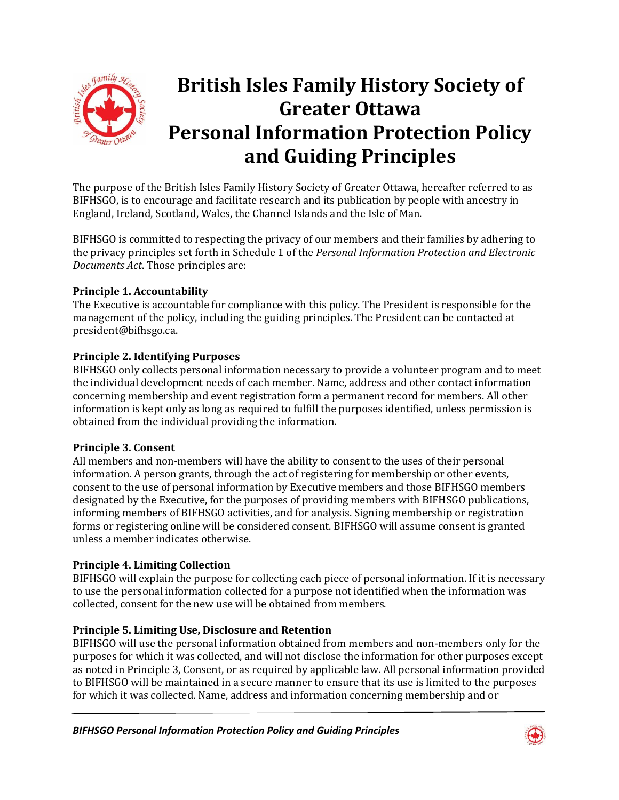

# **British Isles Family History Society of Greater Ottawa Personal Information Protection Policy and Guiding Principles**

The purpose of the British Isles Family History Society of Greater Ottawa, hereafter referred to as BIFHSGO, is to encourage and facilitate research and its publication by people with ancestry in England, Ireland, Scotland, Wales, the Channel Islands and the Isle of Man.

BIFHSGO is committed to respecting the privacy of our members and their families by adhering to the privacy principles set forth in Schedule 1 of the *Personal Information Protection and Electronic Documents Act*. Those principles are:

## **Principle 1. Accountability**

The Executive is accountable for compliance with this policy. The President is responsible for the management of the policy, including the guiding principles. The President can be contacted at president@bifhsgo.ca.

## **Principle 2. Identifying Purposes**

BIFHSGO only collects personal information necessary to provide a volunteer program and to meet the individual development needs of each member. Name, address and other contact information concerning membership and event registration form a permanent record for members. All other information is kept only as long as required to fulfill the purposes identified, unless permission is obtained from the individual providing the information.

#### **Principle 3. Consent**

All members and non-members will have the ability to consent to the uses of their personal information. A person grants, through the act of registering for membership or other events, consent to the use of personal information by Executive members and those BIFHSGO members designated by the Executive, for the purposes of providing members with BIFHSGO publications, informing members of BIFHSGO activities, and for analysis. Signing membership or registration forms or registering online will be considered consent. BIFHSGO will assume consent is granted unless a member indicates otherwise.

# **Principle 4. Limiting Collection**

BIFHSGO will explain the purpose for collecting each piece of personal information. If it is necessary to use the personal information collected for a purpose not identified when the information was collected, consent for the new use will be obtained from members.

#### **Principle 5. Limiting Use, Disclosure and Retention**

BIFHSGO will use the personal information obtained from members and non-members only for the purposes for which it was collected, and will not disclose the information for other purposes except as noted in Principle 3, Consent, or as required by applicable law. All personal information provided to BIFHSGO will be maintained in a secure manner to ensure that its use is limited to the purposes for which it was collected. Name, address and information concerning membership and or